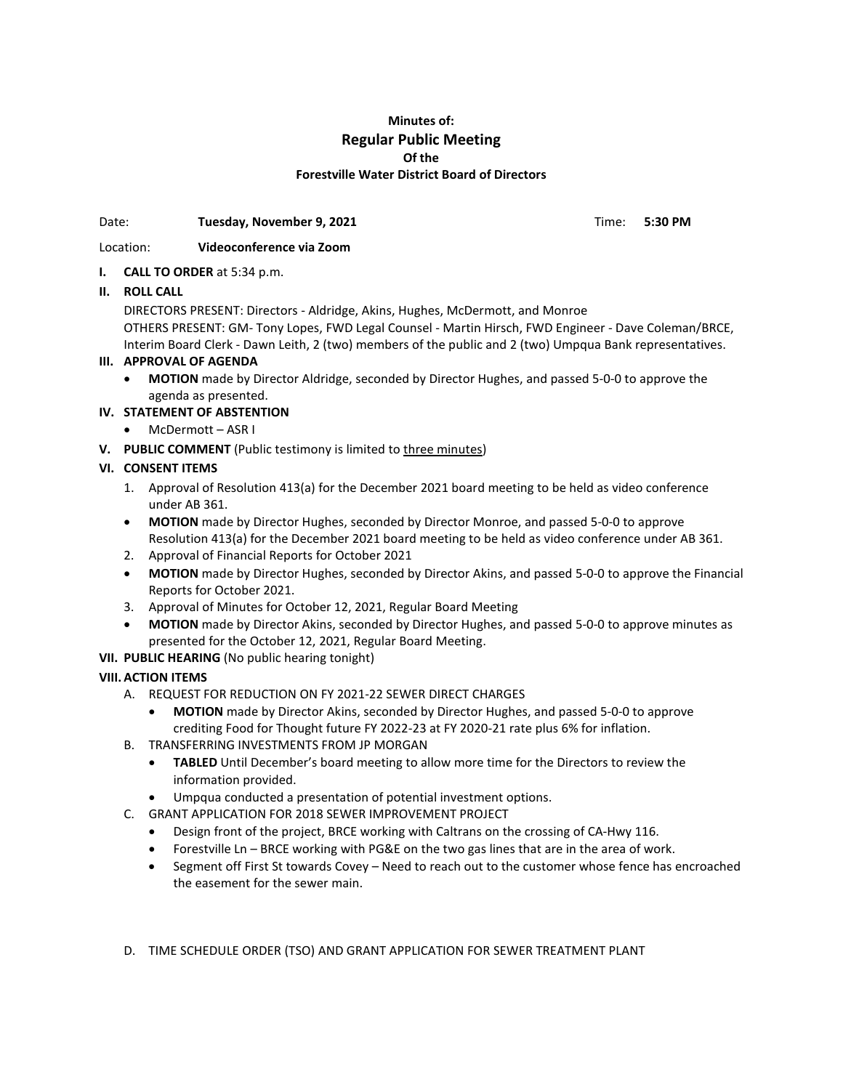# **Minutes of: Regular Public Meeting Of the Forestville Water District Board of Directors**

Date: **Tuesday, November 9, 2021** Time: 5:30 PM

#### Location: **Videoconference via Zoom**

### **I. CALL TO ORDER** at 5:34 p.m.

# **II. ROLL CALL**

DIRECTORS PRESENT: Directors - Aldridge, Akins, Hughes, McDermott, and Monroe OTHERS PRESENT: GM- Tony Lopes, FWD Legal Counsel - Martin Hirsch, FWD Engineer - Dave Coleman/BRCE, Interim Board Clerk - Dawn Leith, 2 (two) members of the public and 2 (two) Umpqua Bank representatives.

### **III. APPROVAL OF AGENDA**

• **MOTION** made by Director Aldridge, seconded by Director Hughes, and passed 5-0-0 to approve the agenda as presented.

# **IV. STATEMENT OF ABSTENTION**

- McDermott ASR I
- **V. PUBLIC COMMENT** (Public testimony is limited to three minutes)

### **VI. CONSENT ITEMS**

- 1. Approval of Resolution 413(a) for the December 2021 board meeting to be held as video conference under AB 361.
- **MOTION** made by Director Hughes, seconded by Director Monroe, and passed 5-0-0 to approve Resolution 413(a) for the December 2021 board meeting to be held as video conference under AB 361.
- 2. Approval of Financial Reports for October 2021
- **MOTION** made by Director Hughes, seconded by Director Akins, and passed 5-0-0 to approve the Financial Reports for October 2021.
- 3. Approval of Minutes for October 12, 2021, Regular Board Meeting
- **MOTION** made by Director Akins, seconded by Director Hughes, and passed 5-0-0 to approve minutes as presented for the October 12, 2021, Regular Board Meeting.
- **VII. PUBLIC HEARING** (No public hearing tonight)

# **VIII. ACTION ITEMS**

- A. REQUEST FOR REDUCTION ON FY 2021-22 SEWER DIRECT CHARGES
	- **MOTION** made by Director Akins, seconded by Director Hughes, and passed 5-0-0 to approve crediting Food for Thought future FY 2022-23 at FY 2020-21 rate plus 6% for inflation.
- B. TRANSFERRING INVESTMENTS FROM JP MORGAN
	- **TABLED** Until December's board meeting to allow more time for the Directors to review the information provided.
	- Umpqua conducted a presentation of potential investment options.
- C. GRANT APPLICATION FOR 2018 SEWER IMPROVEMENT PROJECT
	- Design front of the project, BRCE working with Caltrans on the crossing of CA-Hwy 116.
	- Forestville Ln BRCE working with PG&E on the two gas lines that are in the area of work.
	- Segment off First St towards Covey Need to reach out to the customer whose fence has encroached the easement for the sewer main.

D. TIME SCHEDULE ORDER (TSO) AND GRANT APPLICATION FOR SEWER TREATMENT PLANT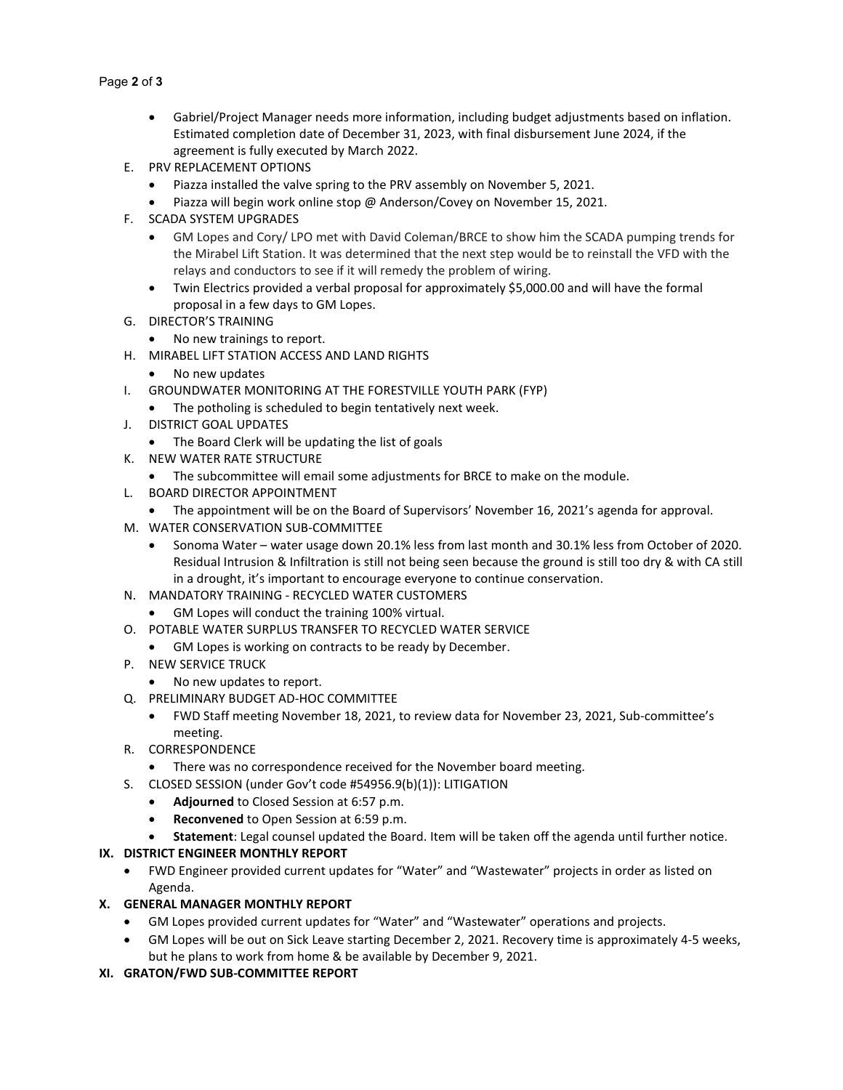#### Page **2** of **3**

- Gabriel/Project Manager needs more information, including budget adjustments based on inflation. Estimated completion date of December 31, 2023, with final disbursement June 2024, if the agreement is fully executed by March 2022.
- E. PRV REPLACEMENT OPTIONS
	- Piazza installed the valve spring to the PRV assembly on November 5, 2021.
	- Piazza will begin work online stop @ Anderson/Covey on November 15, 2021.
- F. SCADA SYSTEM UPGRADES
	- GM Lopes and Cory/ LPO met with David Coleman/BRCE to show him the SCADA pumping trends for the Mirabel Lift Station. It was determined that the next step would be to reinstall the VFD with the relays and conductors to see if it will remedy the problem of wiring.
	- Twin Electrics provided a verbal proposal for approximately \$5,000.00 and will have the formal proposal in a few days to GM Lopes.
- G. DIRECTOR'S TRAINING
	- No new trainings to report.
- H. MIRABEL LIFT STATION ACCESS AND LAND RIGHTS
	- No new updates
- I. GROUNDWATER MONITORING AT THE FORESTVILLE YOUTH PARK (FYP)
	- The potholing is scheduled to begin tentatively next week.
- J. DISTRICT GOAL UPDATES
	- The Board Clerk will be updating the list of goals
- K. NEW WATER RATE STRUCTURE
	- The subcommittee will email some adjustments for BRCE to make on the module.
- L. BOARD DIRECTOR APPOINTMENT
	- The appointment will be on the Board of Supervisors' November 16, 2021's agenda for approval.
- M. WATER CONSERVATION SUB-COMMITTEE
	- Sonoma Water water usage down 20.1% less from last month and 30.1% less from October of 2020. Residual Intrusion & Infiltration is still not being seen because the ground is still too dry & with CA still in a drought, it's important to encourage everyone to continue conservation.
- N. MANDATORY TRAINING RECYCLED WATER CUSTOMERS
	- GM Lopes will conduct the training 100% virtual.
- O. POTABLE WATER SURPLUS TRANSFER TO RECYCLED WATER SERVICE
	- GM Lopes is working on contracts to be ready by December.
- P. NEW SERVICE TRUCK
	- No new updates to report.
- Q. PRELIMINARY BUDGET AD-HOC COMMITTEE
	- FWD Staff meeting November 18, 2021, to review data for November 23, 2021, Sub-committee's meeting.
- R. CORRESPONDENCE
	- There was no correspondence received for the November board meeting.
- S. CLOSED SESSION (under Gov't code #54956.9(b)(1)): LITIGATION
	- **Adjourned** to Closed Session at 6:57 p.m.
	- **Reconvened** to Open Session at 6:59 p.m.
- **Statement**: Legal counsel updated the Board. Item will be taken off the agenda until further notice.

#### **IX. DISTRICT ENGINEER MONTHLY REPORT**

• FWD Engineer provided current updates for "Water" and "Wastewater" projects in order as listed on Agenda.

#### **X. GENERAL MANAGER MONTHLY REPORT**

- GM Lopes provided current updates for "Water" and "Wastewater" operations and projects.
- GM Lopes will be out on Sick Leave starting December 2, 2021. Recovery time is approximately 4-5 weeks, but he plans to work from home & be available by December 9, 2021.
- **XI. GRATON/FWD SUB-COMMITTEE REPORT**